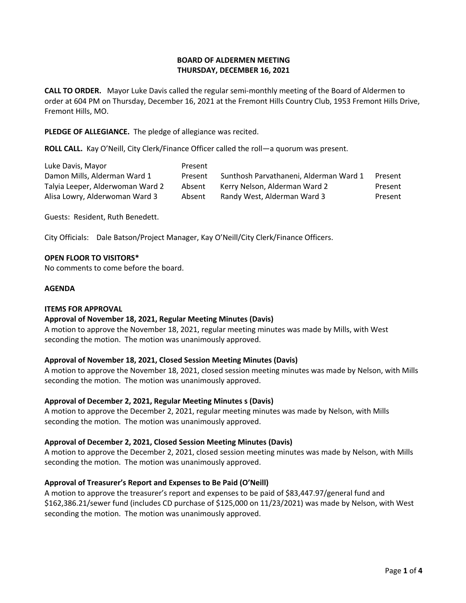## **BOARD OF ALDERMEN MEETING THURSDAY, DECEMBER 16, 2021**

**CALL TO ORDER.** Mayor Luke Davis called the regular semi-monthly meeting of the Board of Aldermen to order at 604 PM on Thursday, December 16, 2021 at the Fremont Hills Country Club, 1953 Fremont Hills Drive, Fremont Hills, MO.

**PLEDGE OF ALLEGIANCE.** The pledge of allegiance was recited.

**ROLL CALL.** Kay O'Neill, City Clerk/Finance Officer called the roll—a quorum was present.

| Luke Davis, Mayor                | <b>Present</b> |                                        |         |
|----------------------------------|----------------|----------------------------------------|---------|
| Damon Mills, Alderman Ward 1     | Present        | Sunthosh Parvathaneni, Alderman Ward 1 | Present |
| Talyia Leeper, Alderwoman Ward 2 | Absent         | Kerry Nelson, Alderman Ward 2          | Present |
| Alisa Lowry, Alderwoman Ward 3   | Absent         | Randy West, Alderman Ward 3            | Present |

Guests: Resident, Ruth Benedett.

City Officials: Dale Batson/Project Manager, Kay O'Neill/City Clerk/Finance Officers.

#### **OPEN FLOOR TO VISITORS\***

No comments to come before the board.

#### **AGENDA**

#### **ITEMS FOR APPROVAL**

## **Approval of November 18, 2021, Regular Meeting Minutes (Davis)**

A motion to approve the November 18, 2021, regular meeting minutes was made by Mills, with West seconding the motion. The motion was unanimously approved.

## **Approval of November 18, 2021, Closed Session Meeting Minutes (Davis)**

A motion to approve the November 18, 2021, closed session meeting minutes was made by Nelson, with Mills seconding the motion. The motion was unanimously approved.

#### **Approval of December 2, 2021, Regular Meeting Minutes s (Davis)**

A motion to approve the December 2, 2021, regular meeting minutes was made by Nelson, with Mills seconding the motion. The motion was unanimously approved.

## **Approval of December 2, 2021, Closed Session Meeting Minutes (Davis)**

A motion to approve the December 2, 2021, closed session meeting minutes was made by Nelson, with Mills seconding the motion. The motion was unanimously approved.

## **Approval of Treasurer's Report and Expenses to Be Paid (O'Neill)**

A motion to approve the treasurer's report and expenses to be paid of \$83,447.97/general fund and \$162,386.21/sewer fund (includes CD purchase of \$125,000 on 11/23/2021) was made by Nelson, with West seconding the motion. The motion was unanimously approved.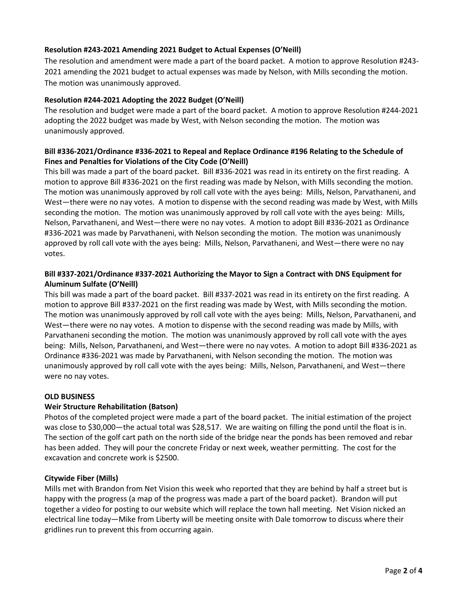# **Resolution #243-2021 Amending 2021 Budget to Actual Expenses (O'Neill)**

The resolution and amendment were made a part of the board packet. A motion to approve Resolution #243- 2021 amending the 2021 budget to actual expenses was made by Nelson, with Mills seconding the motion. The motion was unanimously approved.

## **Resolution #244-2021 Adopting the 2022 Budget (O'Neill)**

The resolution and budget were made a part of the board packet. A motion to approve Resolution #244-2021 adopting the 2022 budget was made by West, with Nelson seconding the motion. The motion was unanimously approved.

# **Bill #336-2021/Ordinance #336-2021 to Repeal and Replace Ordinance #196 Relating to the Schedule of Fines and Penalties for Violations of the City Code (O'Neill)**

This bill was made a part of the board packet. Bill #336-2021 was read in its entirety on the first reading. A motion to approve Bill #336-2021 on the first reading was made by Nelson, with Mills seconding the motion. The motion was unanimously approved by roll call vote with the ayes being: Mills, Nelson, Parvathaneni, and West—there were no nay votes. A motion to dispense with the second reading was made by West, with Mills seconding the motion. The motion was unanimously approved by roll call vote with the ayes being: Mills, Nelson, Parvathaneni, and West—there were no nay votes. A motion to adopt Bill #336-2021 as Ordinance #336-2021 was made by Parvathaneni, with Nelson seconding the motion. The motion was unanimously approved by roll call vote with the ayes being: Mills, Nelson, Parvathaneni, and West—there were no nay votes.

# **Bill #337-2021/Ordinance #337-2021 Authorizing the Mayor to Sign a Contract with DNS Equipment for Aluminum Sulfate (O'Neill)**

This bill was made a part of the board packet. Bill #337-2021 was read in its entirety on the first reading. A motion to approve Bill #337-2021 on the first reading was made by West, with Mills seconding the motion. The motion was unanimously approved by roll call vote with the ayes being: Mills, Nelson, Parvathaneni, and West—there were no nay votes. A motion to dispense with the second reading was made by Mills, with Parvathaneni seconding the motion. The motion was unanimously approved by roll call vote with the ayes being: Mills, Nelson, Parvathaneni, and West—there were no nay votes. A motion to adopt Bill #336-2021 as Ordinance #336-2021 was made by Parvathaneni, with Nelson seconding the motion. The motion was unanimously approved by roll call vote with the ayes being: Mills, Nelson, Parvathaneni, and West—there were no nay votes.

## **OLD BUSINESS**

## **Weir Structure Rehabilitation (Batson)**

Photos of the completed project were made a part of the board packet. The initial estimation of the project was close to \$30,000—the actual total was \$28,517. We are waiting on filling the pond until the float is in. The section of the golf cart path on the north side of the bridge near the ponds has been removed and rebar has been added. They will pour the concrete Friday or next week, weather permitting. The cost for the excavation and concrete work is \$2500.

## **Citywide Fiber (Mills)**

Mills met with Brandon from Net Vision this week who reported that they are behind by half a street but is happy with the progress (a map of the progress was made a part of the board packet). Brandon will put together a video for posting to our website which will replace the town hall meeting. Net Vision nicked an electrical line today—Mike from Liberty will be meeting onsite with Dale tomorrow to discuss where their gridlines run to prevent this from occurring again.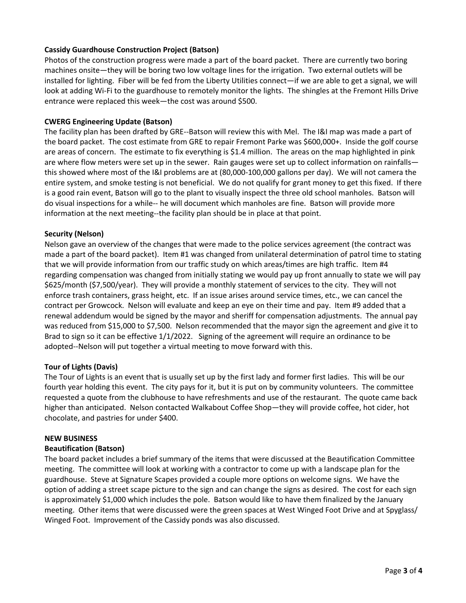# **Cassidy Guardhouse Construction Project (Batson)**

Photos of the construction progress were made a part of the board packet. There are currently two boring machines onsite—they will be boring two low voltage lines for the irrigation. Two external outlets will be installed for lighting. Fiber will be fed from the Liberty Utilities connect—if we are able to get a signal, we will look at adding Wi-Fi to the guardhouse to remotely monitor the lights. The shingles at the Fremont Hills Drive entrance were replaced this week—the cost was around \$500.

## **CWERG Engineering Update (Batson)**

The facility plan has been drafted by GRE--Batson will review this with Mel. The I&I map was made a part of the board packet. The cost estimate from GRE to repair Fremont Parke was \$600,000+. Inside the golf course are areas of concern. The estimate to fix everything is \$1.4 million. The areas on the map highlighted in pink are where flow meters were set up in the sewer. Rain gauges were set up to collect information on rainfalls this showed where most of the I&I problems are at (80,000-100,000 gallons per day). We will not camera the entire system, and smoke testing is not beneficial. We do not qualify for grant money to get this fixed. If there is a good rain event, Batson will go to the plant to visually inspect the three old school manholes. Batson will do visual inspections for a while-- he will document which manholes are fine. Batson will provide more information at the next meeting--the facility plan should be in place at that point.

#### **Security (Nelson)**

Nelson gave an overview of the changes that were made to the police services agreement (the contract was made a part of the board packet). Item #1 was changed from unilateral determination of patrol time to stating that we will provide information from our traffic study on which areas/times are high traffic. Item #4 regarding compensation was changed from initially stating we would pay up front annually to state we will pay \$625/month (\$7,500/year). They will provide a monthly statement of services to the city. They will not enforce trash containers, grass height, etc. If an issue arises around service times, etc., we can cancel the contract per Growcock. Nelson will evaluate and keep an eye on their time and pay. Item #9 added that a renewal addendum would be signed by the mayor and sheriff for compensation adjustments. The annual pay was reduced from \$15,000 to \$7,500. Nelson recommended that the mayor sign the agreement and give it to Brad to sign so it can be effective 1/1/2022. Signing of the agreement will require an ordinance to be adopted--Nelson will put together a virtual meeting to move forward with this.

## **Tour of Lights (Davis)**

The Tour of Lights is an event that is usually set up by the first lady and former first ladies. This will be our fourth year holding this event. The city pays for it, but it is put on by community volunteers. The committee requested a quote from the clubhouse to have refreshments and use of the restaurant. The quote came back higher than anticipated. Nelson contacted Walkabout Coffee Shop—they will provide coffee, hot cider, hot chocolate, and pastries for under \$400.

#### **NEW BUSINESS**

## **Beautification (Batson)**

The board packet includes a brief summary of the items that were discussed at the Beautification Committee meeting. The committee will look at working with a contractor to come up with a landscape plan for the guardhouse. Steve at Signature Scapes provided a couple more options on welcome signs. We have the option of adding a street scape picture to the sign and can change the signs as desired. The cost for each sign is approximately \$1,000 which includes the pole. Batson would like to have them finalized by the January meeting. Other items that were discussed were the green spaces at West Winged Foot Drive and at Spyglass/ Winged Foot. Improvement of the Cassidy ponds was also discussed.